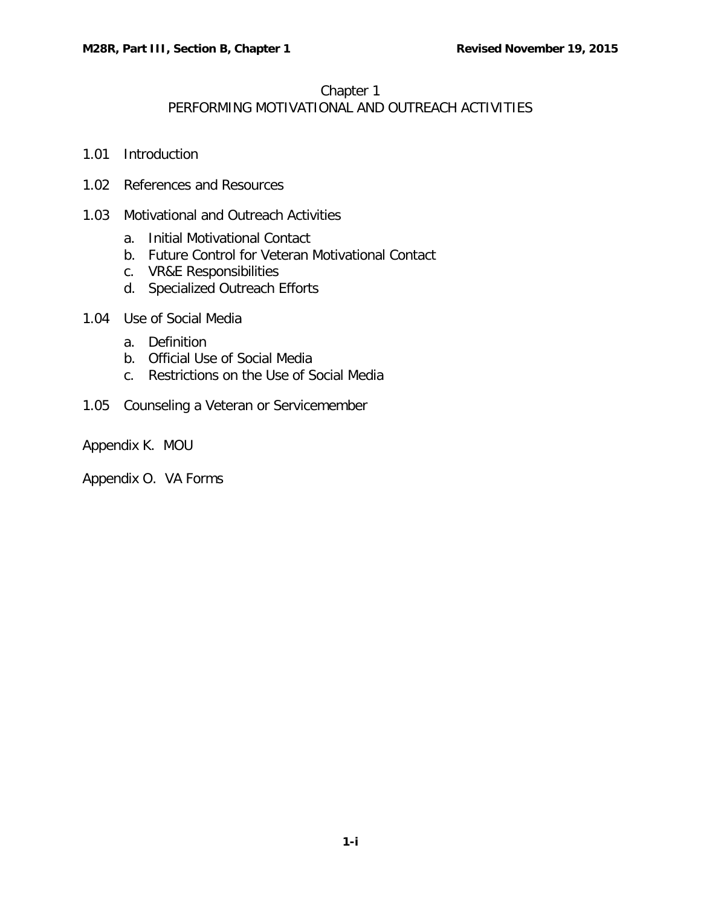#### Chapter 1

# PERFORMING MOTIVATIONAL AND OUTREACH ACTIVITIES

- 1.01 [Introduction](#page-1-0)
- 1.02 [References and Resources](#page-1-1)
- 1.03 [Motivational and Outreach Activities](#page-1-2)
	- a. [Initial Motivational Contact](#page-1-3)
	- b. [Future Control for Veteran Motivational Contact](#page-2-0)
	- c. [VR&E Responsibilities](#page-2-1)
	- d. [Specialized Outreach Efforts](#page-3-0)
- 1.04 [Use of Social Media](#page-7-0)
	- a. [Definition](#page-7-1)
	- b. [Official Use of Social Media](#page-7-2)
	- c. [Restrictions on the Use of Social Media](#page-8-0)
- 1.05 [Counseling a Veteran or Servicemember](#page-9-0)
- Appendix K. MOU

Appendix O. VA Forms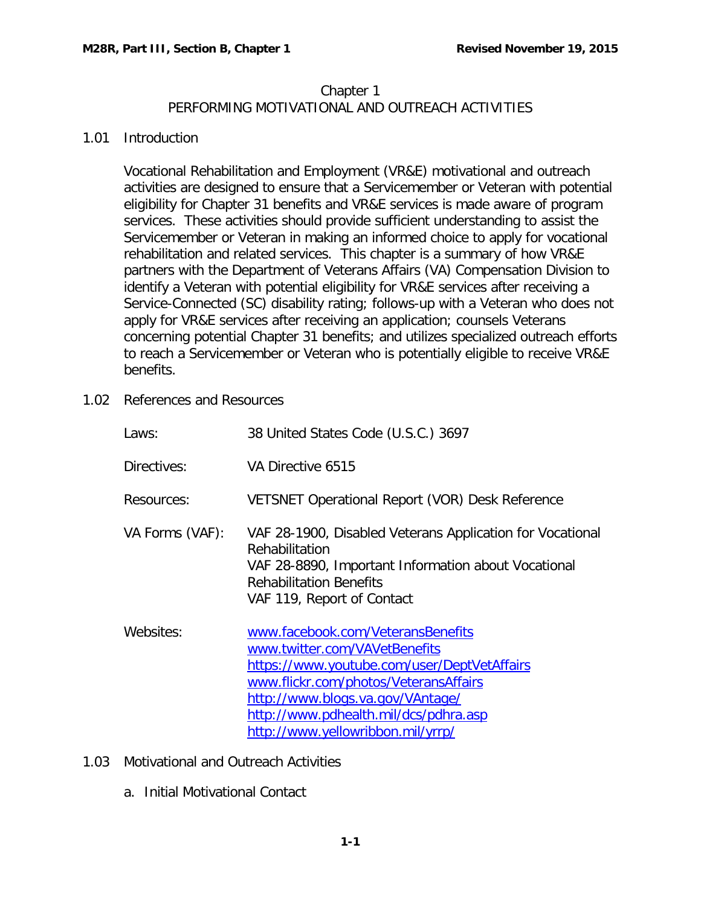# Chapter 1 PERFORMING MOTIVATIONAL AND OUTREACH ACTIVITIES

### <span id="page-1-0"></span>1.01 Introduction

Vocational Rehabilitation and Employment (VR&E) motivational and outreach activities are designed to ensure that a Servicemember or Veteran with potential eligibility for Chapter 31 benefits and VR&E services is made aware of program services. These activities should provide sufficient understanding to assist the Servicemember or Veteran in making an informed choice to apply for vocational rehabilitation and related services. This chapter is a summary of how VR&E partners with the Department of Veterans Affairs (VA) Compensation Division to identify a Veteran with potential eligibility for VR&E services after receiving a Service-Connected (SC) disability rating; follows-up with a Veteran who does not apply for VR&E services after receiving an application; counsels Veterans concerning potential Chapter 31 benefits; and utilizes specialized outreach efforts to reach a Servicemember or Veteran who is potentially eligible to receive VR&E benefits.

<span id="page-1-1"></span>1.02 References and Resources

| Laws:           | 38 United States Code (U.S.C.) 3697                                                                                                                                                                                                                                          |
|-----------------|------------------------------------------------------------------------------------------------------------------------------------------------------------------------------------------------------------------------------------------------------------------------------|
| Directives:     | VA Directive 6515                                                                                                                                                                                                                                                            |
| Resources:      | VETSNET Operational Report (VOR) Desk Reference                                                                                                                                                                                                                              |
| VA Forms (VAF): | VAF 28-1900, Disabled Veterans Application for Vocational<br>Rehabilitation<br>VAF 28-8890, Important Information about Vocational<br><b>Rehabilitation Benefits</b><br>VAF 119, Report of Contact                                                                           |
| Websites:       | www.facebook.com/VeteransBenefits<br>www.twitter.com/VAVetBenefits<br>https://www.youtube.com/user/DeptVetAffairs<br>www.flickr.com/photos/VeteransAffairs<br>http://www.blogs.va.gov/VAntage/<br>http://www.pdhealth.mil/dcs/pdhra.asp<br>http://www.yellowribbon.mil/yrrp/ |

- <span id="page-1-3"></span><span id="page-1-2"></span>1.03 Motivational and Outreach Activities
	- a. Initial Motivational Contact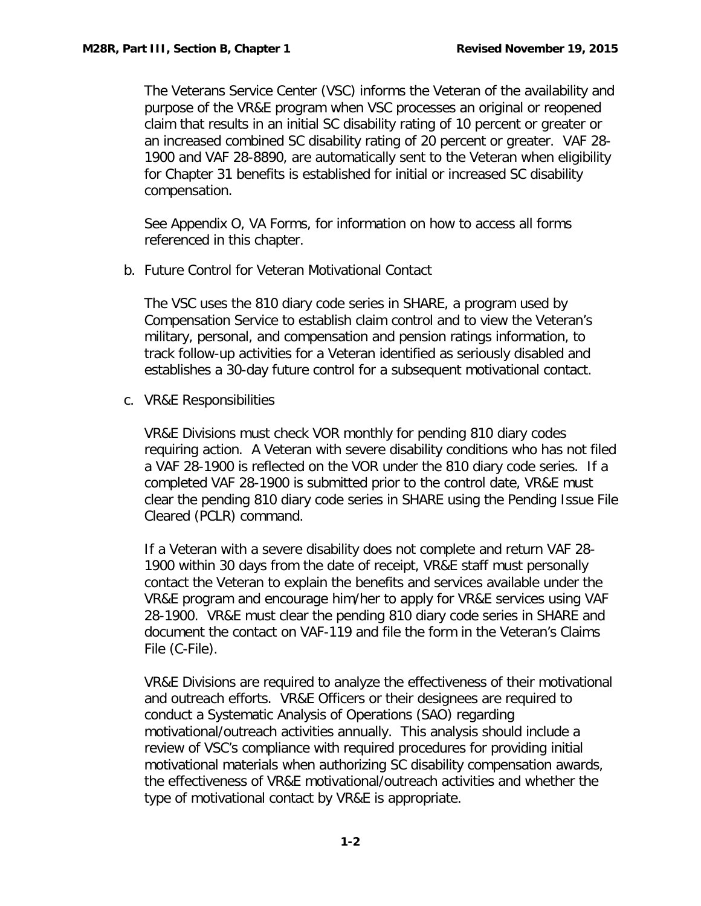The Veterans Service Center (VSC) informs the Veteran of the availability and purpose of the VR&E program when VSC processes an original or reopened claim that results in an initial SC disability rating of 10 percent or greater or an increased combined SC disability rating of 20 percent or greater. VAF 28- 1900 and VAF 28-8890, are automatically sent to the Veteran when eligibility for Chapter 31 benefits is established for initial or increased SC disability compensation.

See Appendix O, VA Forms, for information on how to access all forms referenced in this chapter.

<span id="page-2-0"></span>b. Future Control for Veteran Motivational Contact

The VSC uses the 810 diary code series in SHARE, a program used by Compensation Service to establish claim control and to view the Veteran's military, personal, and compensation and pension ratings information, to track follow-up activities for a Veteran identified as seriously disabled and establishes a 30-day future control for a subsequent motivational contact.

<span id="page-2-1"></span>c. VR&E Responsibilities

VR&E Divisions must check VOR monthly for pending 810 diary codes requiring action. A Veteran with severe disability conditions who has not filed a VAF 28-1900 is reflected on the VOR under the 810 diary code series. If a completed VAF 28-1900 is submitted prior to the control date, VR&E must clear the pending 810 diary code series in SHARE using the Pending Issue File Cleared (PCLR) command.

If a Veteran with a severe disability does not complete and return VAF 28- 1900 within 30 days from the date of receipt, VR&E staff must personally contact the Veteran to explain the benefits and services available under the VR&E program and encourage him/her to apply for VR&E services using VAF 28-1900. VR&E must clear the pending 810 diary code series in SHARE and document the contact on VAF-119 and file the form in the Veteran's Claims File (C-File).

VR&E Divisions are required to analyze the effectiveness of their motivational and outreach efforts. VR&E Officers or their designees are required to conduct a Systematic Analysis of Operations (SAO) regarding motivational/outreach activities annually. This analysis should include a review of VSC's compliance with required procedures for providing initial motivational materials when authorizing SC disability compensation awards, the effectiveness of VR&E motivational/outreach activities and whether the type of motivational contact by VR&E is appropriate.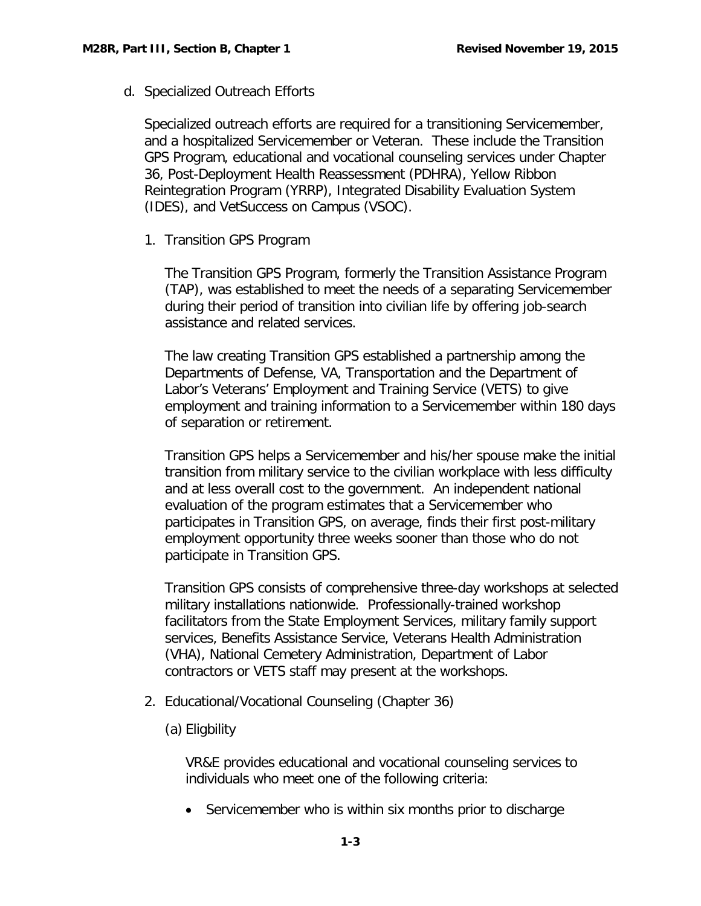<span id="page-3-0"></span>d. Specialized Outreach Efforts

Specialized outreach efforts are required for a transitioning Servicemember, and a hospitalized Servicemember or Veteran. These include the Transition GPS Program, educational and vocational counseling services under Chapter 36, Post-Deployment Health Reassessment (PDHRA), Yellow Ribbon Reintegration Program (YRRP), Integrated Disability Evaluation System (IDES), and VetSuccess on Campus (VSOC).

1. Transition GPS Program

The Transition GPS Program, formerly the Transition Assistance Program (TAP), was established to meet the needs of a separating Servicemember during their period of transition into civilian life by offering job-search assistance and related services.

The law creating Transition GPS established a partnership among the Departments of Defense, VA, Transportation and the Department of Labor's Veterans' Employment and Training Service (VETS) to give employment and training information to a Servicemember within 180 days of separation or retirement.

Transition GPS helps a Servicemember and his/her spouse make the initial transition from military service to the civilian workplace with less difficulty and at less overall cost to the government. An independent national evaluation of the program estimates that a Servicemember who participates in Transition GPS, on average, finds their first post-military employment opportunity three weeks sooner than those who do not participate in Transition GPS.

Transition GPS consists of comprehensive three-day workshops at selected military installations nationwide. Professionally-trained workshop facilitators from the State Employment Services, military family support services, Benefits Assistance Service, Veterans Health Administration (VHA), National Cemetery Administration, Department of Labor contractors or VETS staff may present at the workshops.

- 2. Educational/Vocational Counseling (Chapter 36)
	- (a) Eligbility

VR&E provides educational and vocational counseling services to individuals who meet one of the following criteria:

• Servicemember who is within six months prior to discharge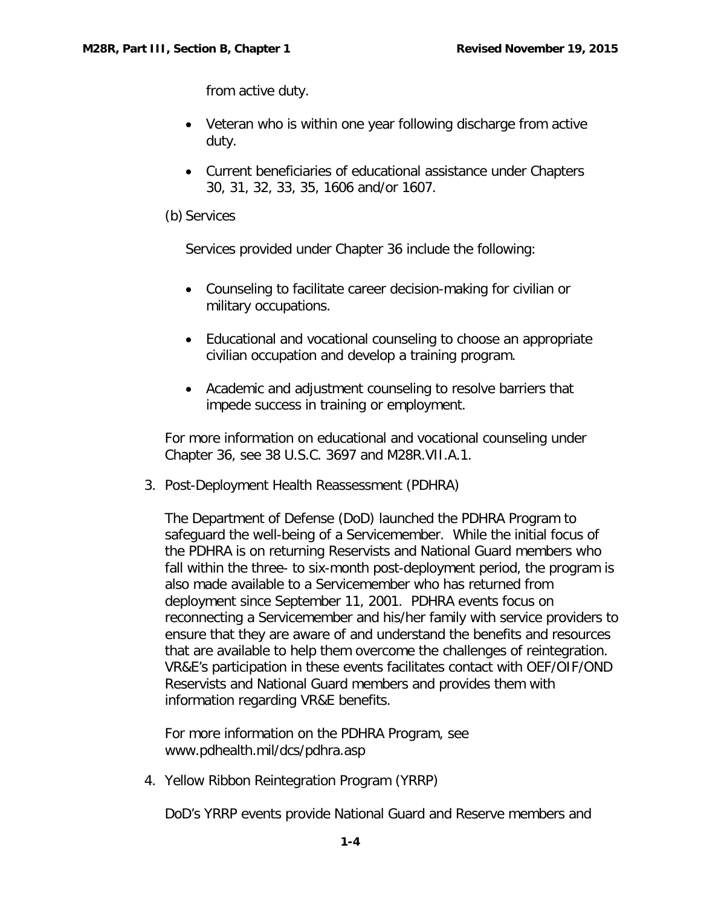from active duty.

- Veteran who is within one year following discharge from active duty.
- Current beneficiaries of educational assistance under Chapters 30, 31, 32, 33, 35, 1606 and/or 1607.
- (b) Services

Services provided under Chapter 36 include the following:

- Counseling to facilitate career decision-making for civilian or military occupations.
- Educational and vocational counseling to choose an appropriate civilian occupation and develop a training program.
- Academic and adjustment counseling to resolve barriers that impede success in training or employment.

For more information on educational and vocational counseling under Chapter 36, see 38 U.S.C. 3697 and M28R.VII.A.1.

3. Post-Deployment Health Reassessment (PDHRA)

The Department of Defense (DoD) launched the PDHRA Program to safeguard the well-being of a Servicemember. While the initial focus of the PDHRA is on returning Reservists and National Guard members who fall within the three- to six-month post-deployment period, the program is also made available to a Servicemember who has returned from deployment since September 11, 2001. PDHRA events focus on reconnecting a Servicemember and his/her family with service providers to ensure that they are aware of and understand the benefits and resources that are available to help them overcome the challenges of reintegration. VR&E's participation in these events facilitates contact with OEF/OIF/OND Reservists and National Guard members and provides them with information regarding VR&E benefits.

For more information on the PDHRA Program, see [www.pdhealth.mil/dcs/pdhra.asp](http://www.pdhealth.mil/dcs/pdhra.asp)

4. Yellow Ribbon Reintegration Program (YRRP)

DoD's YRRP events provide National Guard and Reserve members and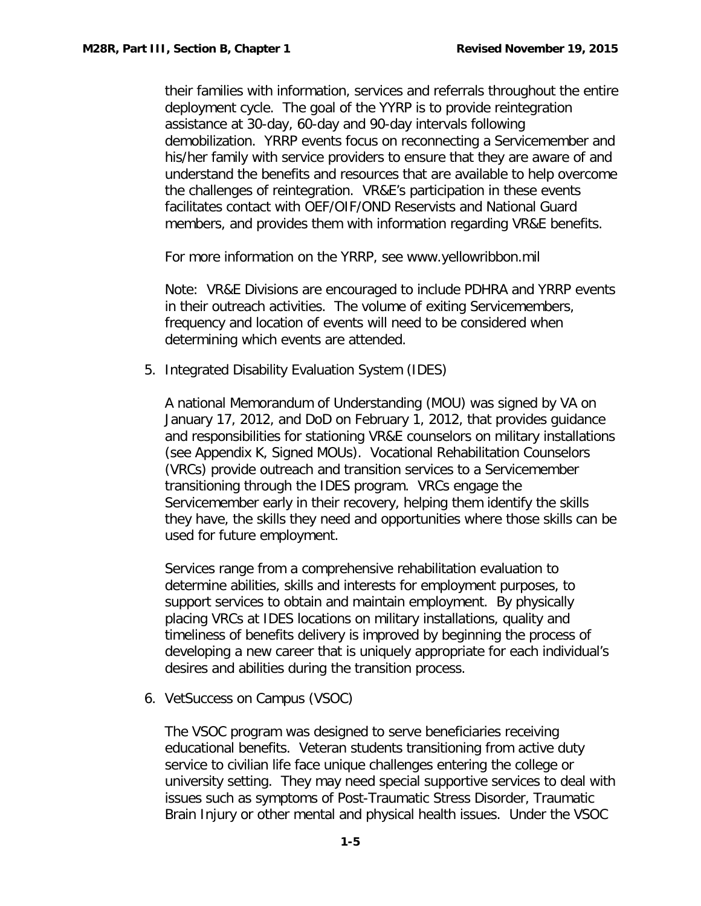their families with information, services and referrals throughout the entire deployment cycle. The goal of the YYRP is to provide reintegration assistance at 30-day, 60-day and 90-day intervals following demobilization. YRRP events focus on reconnecting a Servicemember and his/her family with service providers to ensure that they are aware of and understand the benefits and resources that are available to help overcome the challenges of reintegration. VR&E's participation in these events facilitates contact with OEF/OIF/OND Reservists and National Guard members, and provides them with information regarding VR&E benefits.

For more information on the YRRP, see www.yellowribbon.mil

Note: VR&E Divisions are encouraged to include PDHRA and YRRP events in their outreach activities. The volume of exiting Servicemembers, frequency and location of events will need to be considered when determining which events are attended.

5. Integrated Disability Evaluation System (IDES)

A national Memorandum of Understanding (MOU) was signed by VA on January 17, 2012, and DoD on February 1, 2012, that provides guidance and responsibilities for stationing VR&E counselors on military installations (see Appendix K, Signed MOUs). Vocational Rehabilitation Counselors (VRCs) provide outreach and transition services to a Servicemember transitioning through the IDES program. VRCs engage the Servicemember early in their recovery, helping them identify the skills they have, the skills they need and opportunities where those skills can be used for future employment.

Services range from a comprehensive rehabilitation evaluation to determine abilities, skills and interests for employment purposes, to support services to obtain and maintain employment. By physically placing VRCs at IDES locations on military installations, quality and timeliness of benefits delivery is improved by beginning the process of developing a new career that is uniquely appropriate for each individual's desires and abilities during the transition process.

6. VetSuccess on Campus (VSOC)

The VSOC program was designed to serve beneficiaries receiving educational benefits. Veteran students transitioning from active duty service to civilian life face unique challenges entering the college or university setting. They may need special supportive services to deal with issues such as symptoms of Post-Traumatic Stress Disorder, Traumatic Brain Injury or other mental and physical health issues. Under the VSOC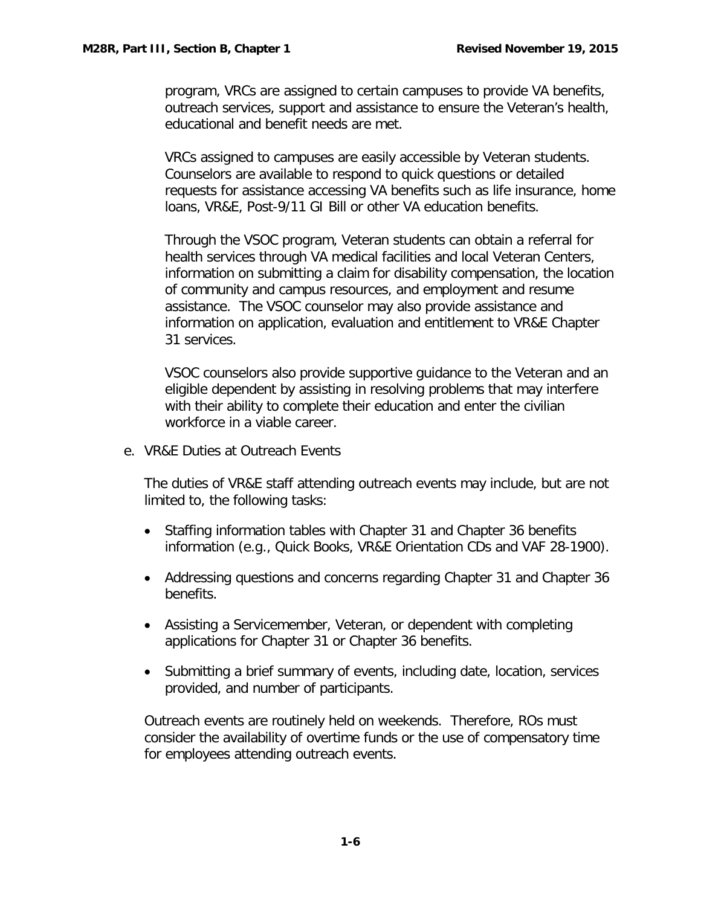program, VRCs are assigned to certain campuses to provide VA benefits, outreach services, support and assistance to ensure the Veteran's health, educational and benefit needs are met.

VRCs assigned to campuses are easily accessible by Veteran students. Counselors are available to respond to quick questions or detailed requests for assistance accessing VA benefits such as life insurance, home loans, VR&E, Post-9/11 GI Bill or other VA education benefits.

Through the VSOC program, Veteran students can obtain a referral for health services through VA medical facilities and local Veteran Centers, information on submitting a claim for disability compensation, the location of community and campus resources, and employment and resume assistance. The VSOC counselor may also provide assistance and information on application, evaluation and entitlement to VR&E Chapter 31 services.

VSOC counselors also provide supportive guidance to the Veteran and an eligible dependent by assisting in resolving problems that may interfere with their ability to complete their education and enter the civilian workforce in a viable career.

e. VR&E Duties at Outreach Events

The duties of VR&E staff attending outreach events may include, but are not limited to, the following tasks:

- Staffing information tables with Chapter 31 and Chapter 36 benefits information (e.g., Quick Books, VR&E Orientation CDs and VAF 28-1900).
- Addressing questions and concerns regarding Chapter 31 and Chapter 36 benefits.
- Assisting a Servicemember, Veteran, or dependent with completing applications for Chapter 31 or Chapter 36 benefits.
- Submitting a brief summary of events, including date, location, services provided, and number of participants.

Outreach events are routinely held on weekends. Therefore, ROs must consider the availability of overtime funds or the use of compensatory time for employees attending outreach events.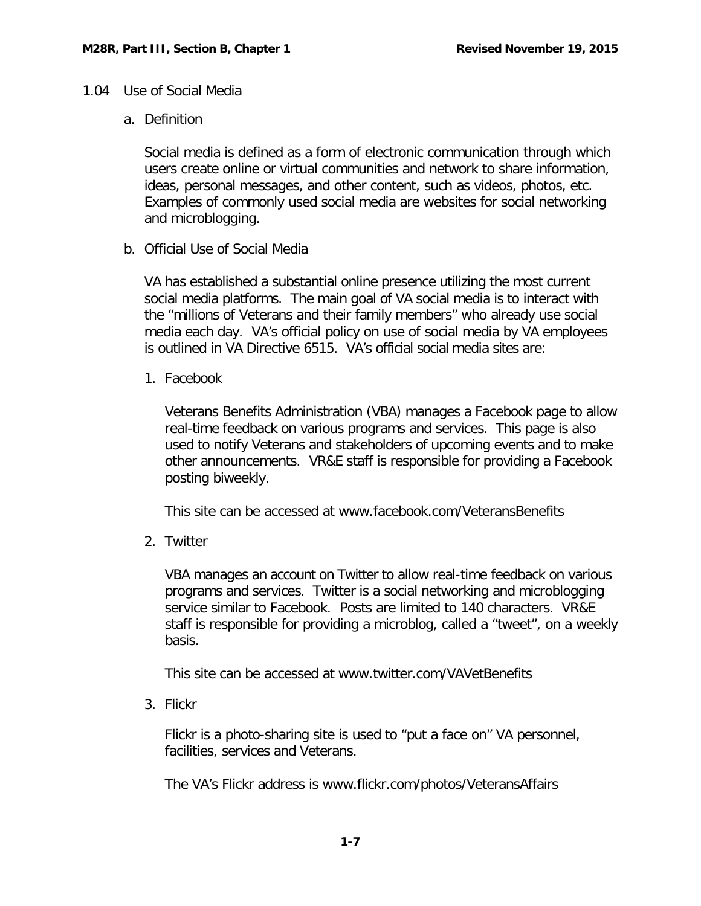### <span id="page-7-1"></span><span id="page-7-0"></span>1.04 Use of Social Media

a. Definition

Social media is defined as a form of electronic communication through which users create online or virtual communities and network to share information, ideas, personal messages, and other content, such as videos, photos, etc. Examples of commonly used social media are websites for social networking and microblogging.

<span id="page-7-2"></span>b. Official Use of Social Media

VA has established a substantial online presence utilizing the most current social media platforms. The main goal of VA social media is to interact with the "millions of Veterans and their family members" who already use social media each day. VA's official policy on use of social media by VA employees is outlined in VA Directive 6515. VA's official social media sites are:

1. Facebook

Veterans Benefits Administration (VBA) manages a Facebook page to allow real-time feedback on various programs and services. This page is also used to notify Veterans and stakeholders of upcoming events and to make other announcements. VR&E staff is responsible for providing a Facebook posting biweekly.

This site can be accessed at [www.facebook.com/VeteransBenefits](http://www.facebook.com/VeteransBenefits)

2. Twitter

VBA manages an account on Twitter to allow real-time feedback on various programs and services. Twitter is a social networking and microblogging service similar to Facebook. Posts are limited to 140 characters. VR&E staff is responsible for providing a microblog, called a "tweet", on a weekly basis.

This site can be accessed at [www.twitter.com/VAVetBenefits](http://www.twitter.com/VAVetBenefits)

3. Flickr

Flickr is a photo-sharing site is used to "put a face on" VA personnel, facilities, services and Veterans.

The VA's Flickr address is [www.flickr.com/photos/VeteransAffairs](http://www.flickr.com/photos/VeteransAffairs)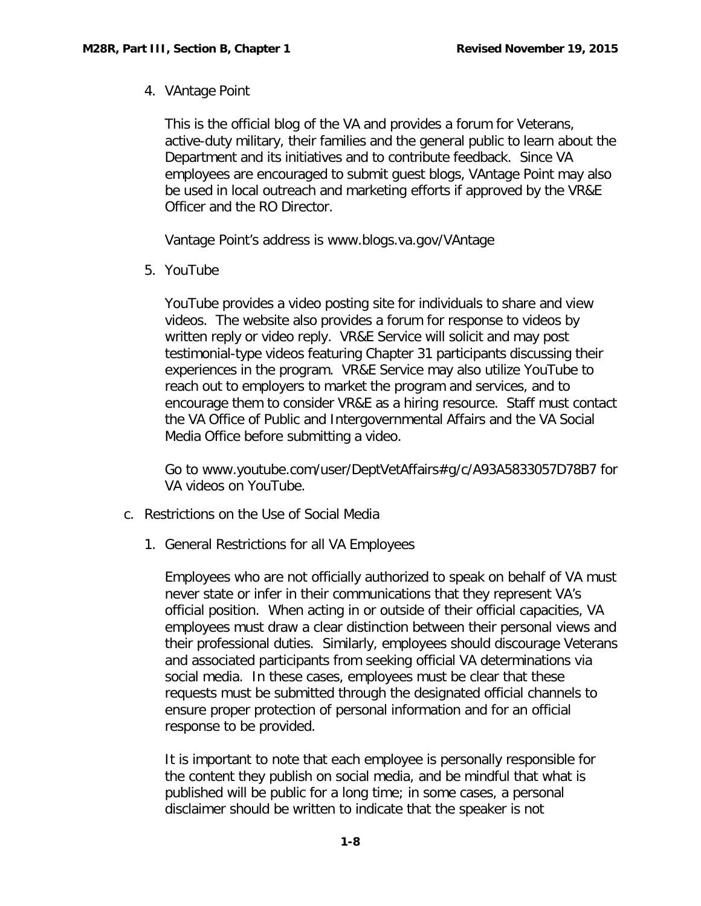4. VAntage Point

This is the official blog of the VA and provides a forum for Veterans, active-duty military, their families and the general public to learn about the Department and its initiatives and to contribute feedback. Since VA employees are encouraged to submit guest blogs, VAntage Point may also be used in local outreach and marketing efforts if approved by the VR&E Officer and the RO Director.

Vantage Point's address is www.blogs.va.gov/VAntage

5. YouTube

YouTube provides a video posting site for individuals to share and view videos. The website also provides a forum for response to videos by written reply or video reply. VR&E Service will solicit and may post testimonial-type videos featuring Chapter 31 participants discussing their experiences in the program. VR&E Service may also utilize YouTube to reach out to employers to market the program and services, and to encourage them to consider VR&E as a hiring resource. Staff must contact the VA Office of Public and Intergovernmental Affairs and the VA Social Media Office before submitting a video.

Go to [www.youtube.com/user/DeptVetAffairs#g/c/A93A5833057D78B7](http://www.youtube.com/user/DeptVetAffairs%23g/c/A93A5833057D78B7) for VA videos on YouTube.

- <span id="page-8-0"></span>c. Restrictions on the Use of Social Media
	- 1. General Restrictions for all VA Employees

Employees who are not officially authorized to speak on behalf of VA must never state or infer in their communications that they represent VA's official position. When acting in or outside of their official capacities, VA employees must draw a clear distinction between their personal views and their professional duties. Similarly, employees should discourage Veterans and associated participants from seeking official VA determinations via social media. In these cases, employees must be clear that these requests must be submitted through the designated official channels to ensure proper protection of personal information and for an official response to be provided.

It is important to note that each employee is personally responsible for the content they publish on social media, and be mindful that what is published will be public for a long time; in some cases, a personal disclaimer should be written to indicate that the speaker is not